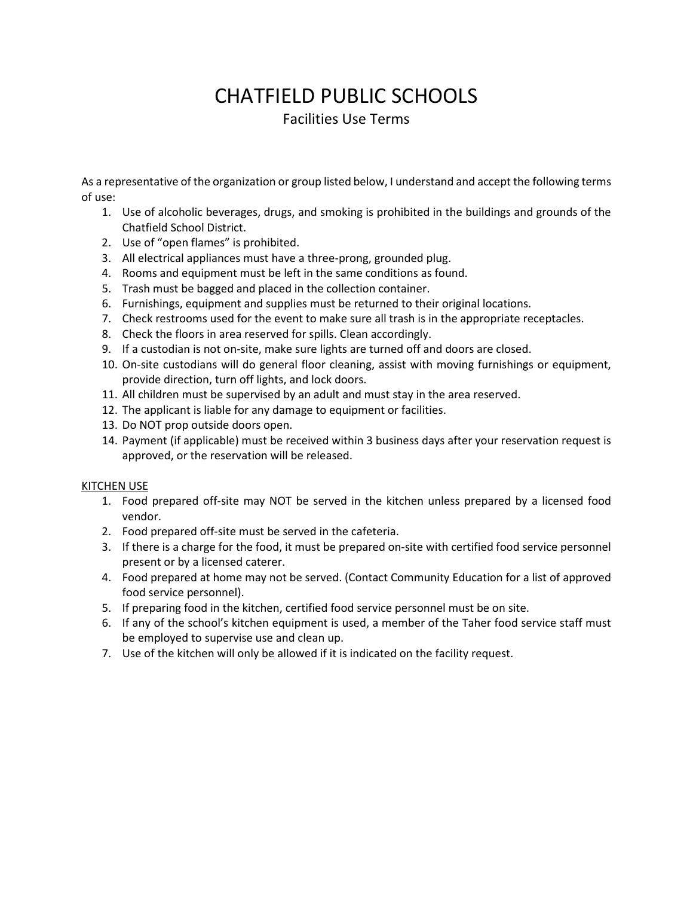# CHATFIELD PUBLIC SCHOOLS Facilities Use Terms

As a representative of the organization or group listed below, I understand and accept the following terms of use:

- 1. Use of alcoholic beverages, drugs, and smoking is prohibited in the buildings and grounds of the Chatfield School District.
- 2. Use of "open flames" is prohibited.
- 3. All electrical appliances must have a three-prong, grounded plug.
- 4. Rooms and equipment must be left in the same conditions as found.
- 5. Trash must be bagged and placed in the collection container.
- 6. Furnishings, equipment and supplies must be returned to their original locations.
- 7. Check restrooms used for the event to make sure all trash is in the appropriate receptacles.
- 8. Check the floors in area reserved for spills. Clean accordingly.
- 9. If a custodian is not on-site, make sure lights are turned off and doors are closed.
- 10. On-site custodians will do general floor cleaning, assist with moving furnishings or equipment, provide direction, turn off lights, and lock doors.
- 11. All children must be supervised by an adult and must stay in the area reserved.
- 12. The applicant is liable for any damage to equipment or facilities.
- 13. Do NOT prop outside doors open.
- 14. Payment (if applicable) must be received within 3 business days after your reservation request is approved, or the reservation will be released.

## KITCHEN USE

- 1. Food prepared off-site may NOT be served in the kitchen unless prepared by a licensed food vendor.
- 2. Food prepared off-site must be served in the cafeteria.
- 3. If there is a charge for the food, it must be prepared on-site with certified food service personnel present or by a licensed caterer.
- 4. Food prepared at home may not be served. (Contact Community Education for a list of approved food service personnel).
- 5. If preparing food in the kitchen, certified food service personnel must be on site.
- 6. If any of the school's kitchen equipment is used, a member of the Taher food service staff must be employed to supervise use and clean up.
- 7. Use of the kitchen will only be allowed if it is indicated on the facility request.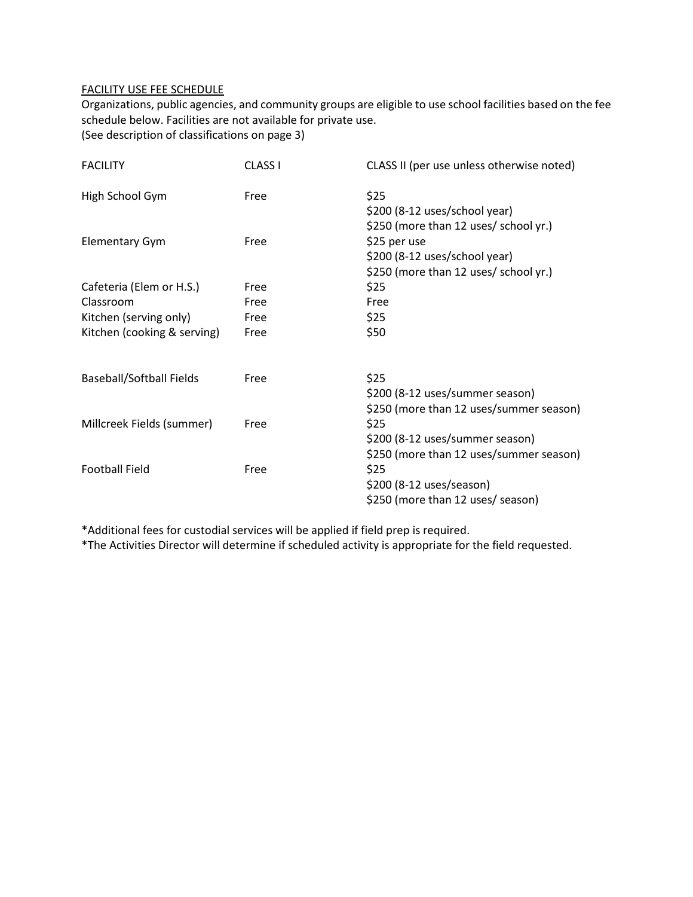#### FACILITY USE FEE SCHEDULE

Organizations, public agencies, and community groups are eligible to use school facilities based on the fee schedule below. Facilities are not available for private use.

(See description of classifications on page 3)

| <b>FACILITY</b>                 | <b>CLASS I</b> | CLASS II (per use unless otherwise noted)                                              |
|---------------------------------|----------------|----------------------------------------------------------------------------------------|
| High School Gym                 | Free           | \$25<br>\$200 (8-12 uses/school year)<br>\$250 (more than 12 uses/ school yr.)         |
| <b>Elementary Gym</b>           | Free           | \$25 per use<br>\$200 (8-12 uses/school year)<br>\$250 (more than 12 uses/ school yr.) |
| Cafeteria (Elem or H.S.)        | Free           | \$25                                                                                   |
| Classroom                       | Free           | Free                                                                                   |
| Kitchen (serving only)          | Free           | \$25                                                                                   |
| Kitchen (cooking & serving)     | Free           | \$50                                                                                   |
| <b>Baseball/Softball Fields</b> | Free           | \$25<br>\$200 (8-12 uses/summer season)<br>\$250 (more than 12 uses/summer season)     |
| Millcreek Fields (summer)       | Free           | \$25<br>\$200 (8-12 uses/summer season)<br>\$250 (more than 12 uses/summer season)     |
| <b>Football Field</b>           | Free           | \$25<br>\$200 (8-12 uses/season)<br>\$250 (more than 12 uses/ season)                  |

\*Additional fees for custodial services will be applied if field prep is required.

\*The Activities Director will determine if scheduled activity is appropriate for the field requested.